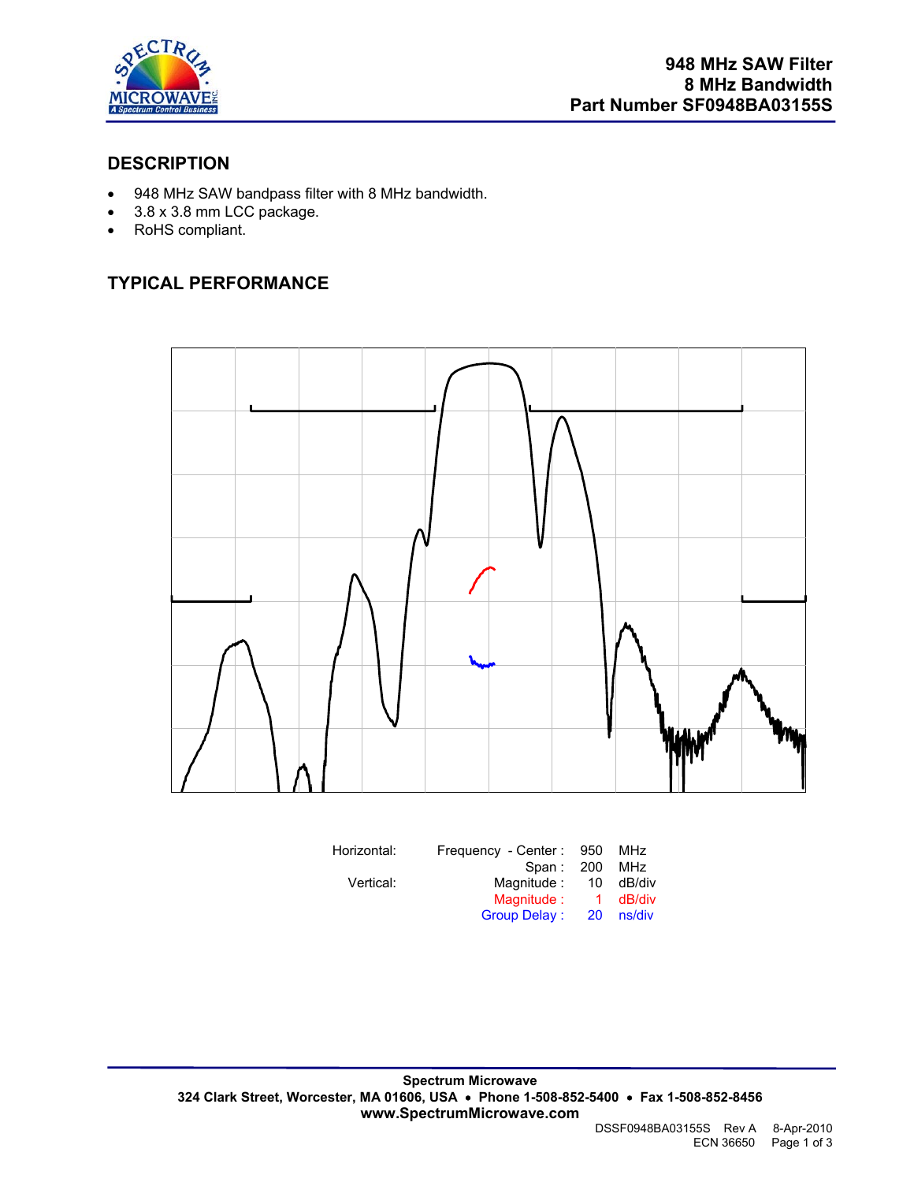

#### **DESCRIPTION**

- 948 MHz SAW bandpass filter with 8 MHz bandwidth.
- 3.8 x 3.8 mm LCC package.
- RoHS compliant.

## **TYPICAL PERFORMANCE**



| Horizontal: | Frequency - Center: | 950          | MHz    |
|-------------|---------------------|--------------|--------|
|             | Span: 200           |              | MHz    |
| Vertical:   | Magnitude :         | 10           | dB/div |
|             | Magnitude:          | $\mathbf{1}$ | dB/div |
|             | <b>Group Delay:</b> | <b>20</b>    | ns/div |

DSSF0948BA03155S Rev A 8-Apr-2010 ECN 36650 Page 1 of 3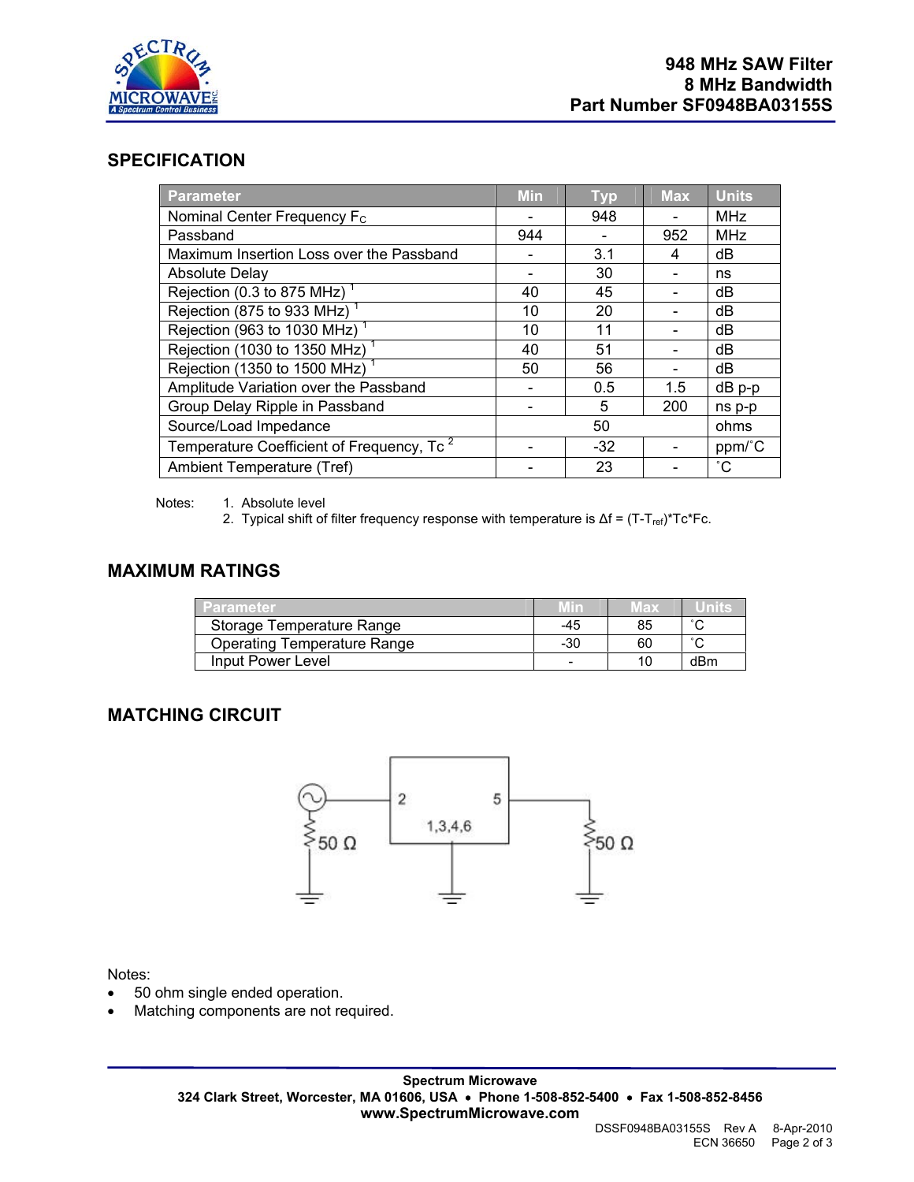

#### **SPECIFICATION**

| Parameter                                             | <b>Min</b> | <b>Typ</b> | <b>Max</b> | <b>Units</b>    |
|-------------------------------------------------------|------------|------------|------------|-----------------|
| Nominal Center Frequency F <sub>c</sub>               | -          | 948        |            | <b>MHz</b>      |
| Passband                                              | 944        |            | 952        | <b>MHz</b>      |
| Maximum Insertion Loss over the Passband              |            | 3.1        | 4          | dB              |
| <b>Absolute Delay</b>                                 |            | 30         |            | ns              |
| Rejection (0.3 to 875 MHz)                            | 40         | 45         |            | dB              |
| Rejection (875 to 933 MHz)                            | 10         | 20         |            | dB              |
| Rejection (963 to 1030 MHz) <sup>1</sup>              | 10         | 11         |            | dB              |
| Rejection (1030 to 1350 MHz)                          | 40         | 51         |            | dB              |
| Rejection (1350 to 1500 MHz) <sup>1</sup>             | 50         | 56         |            | dB              |
| Amplitude Variation over the Passband                 |            | 0.5        | 1.5        | $dB$ $p-p$      |
| Group Delay Ripple in Passband                        |            | 5          | 200        | ns p-p          |
| Source/Load Impedance                                 |            | 50         |            | ohms            |
| Temperature Coefficient of Frequency, Tc <sup>2</sup> |            | $-32$      |            | ppm/°C          |
| Ambient Temperature (Tref)                            |            | 23         |            | $\rm ^{\circ}C$ |

Notes: 1. Absolute level

2. Typical shift of filter frequency response with temperature is  $\Delta f = (T - T_{ref})^*Tc^*Fc$ .

#### **MAXIMUM RATINGS**

| <b>ZParameter</b>           |     | wax | ≔U∏D⊳-              |
|-----------------------------|-----|-----|---------------------|
| Storage Temperature Range   | -45 | 85  | $\hat{\phantom{a}}$ |
| Operating Temperature Range | -30 | 60  | $\sim$              |
| Input Power Level           |     |     | dBm                 |

#### **MATCHING CIRCUIT**



Notes:

- 50 ohm single ended operation.
- Matching components are not required.